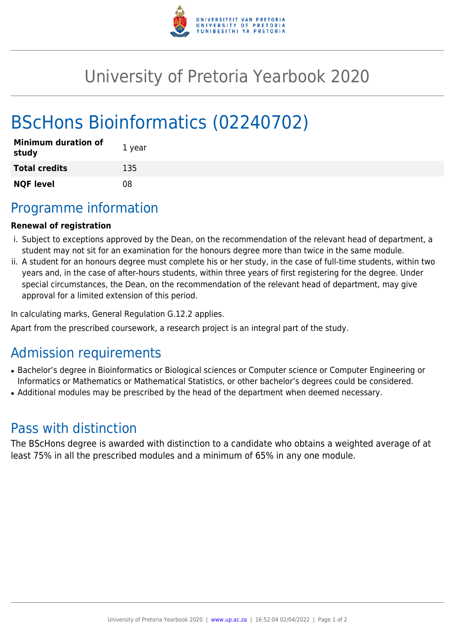

## University of Pretoria Yearbook 2020

# BScHons Bioinformatics (02240702)

| <b>Minimum duration of</b><br>study | 1 year |
|-------------------------------------|--------|
| <b>Total credits</b>                | 135    |
| <b>NQF level</b>                    | 08     |

### Programme information

#### **Renewal of registration**

- i. Subject to exceptions approved by the Dean, on the recommendation of the relevant head of department, a student may not sit for an examination for the honours degree more than twice in the same module.
- ii. A student for an honours degree must complete his or her study, in the case of full-time students, within two years and, in the case of after-hours students, within three years of first registering for the degree. Under special circumstances, the Dean, on the recommendation of the relevant head of department, may give approval for a limited extension of this period.

In calculating marks, General Regulation G.12.2 applies.

Apart from the prescribed coursework, a research project is an integral part of the study.

### Admission requirements

- Bachelor's degree in Bioinformatics or Biological sciences or Computer science or Computer Engineering or Informatics or Mathematics or Mathematical Statistics, or other bachelor's degrees could be considered.
- Additional modules may be prescribed by the head of the department when deemed necessary.

### Pass with distinction

The BScHons degree is awarded with distinction to a candidate who obtains a weighted average of at least 75% in all the prescribed modules and a minimum of 65% in any one module.